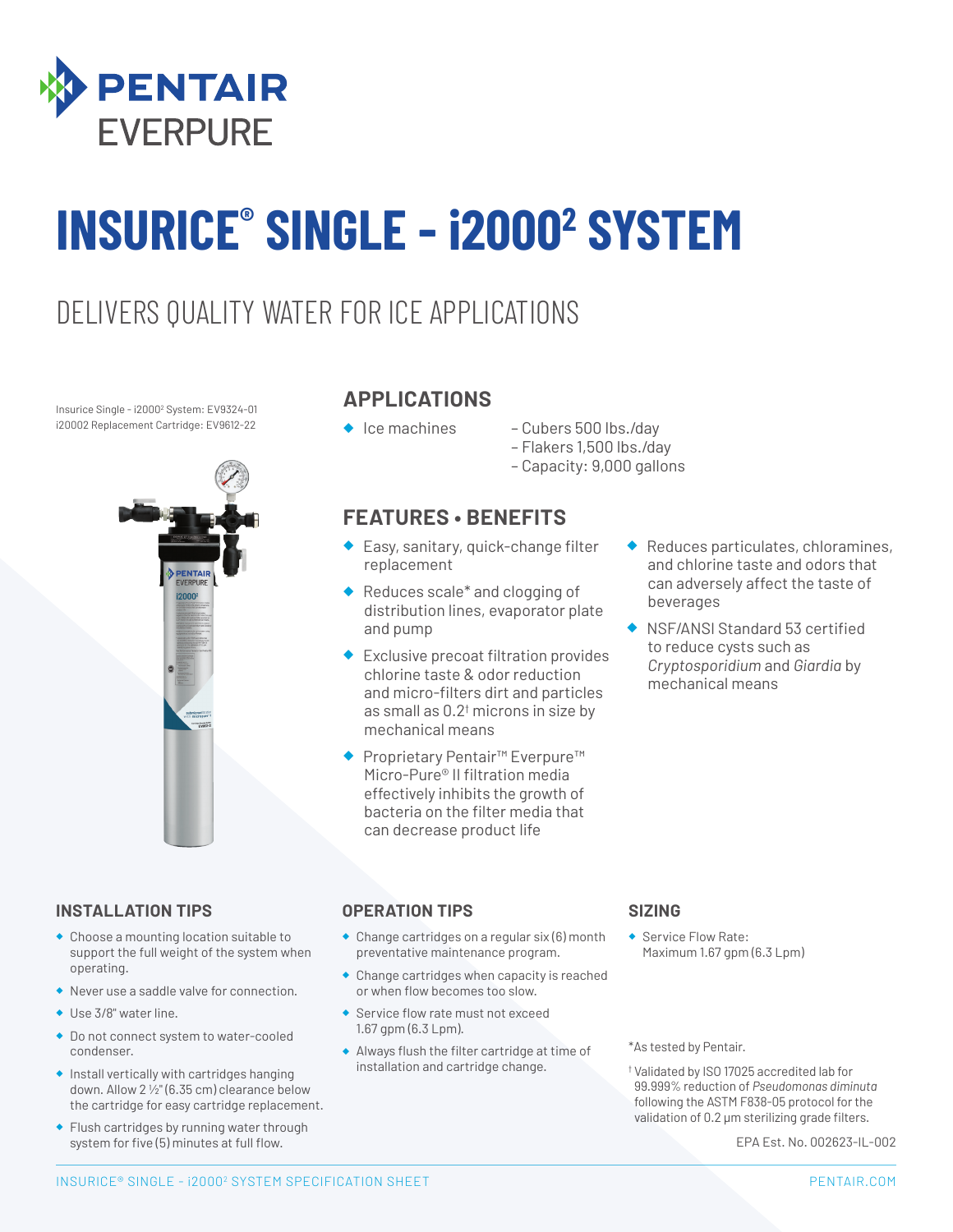

# **INSURICE® SINGLE - i20002 SYSTEM**

### DELIVERS QUALITY WATER FOR ICE APPLICATIONS

Insurice Single - i20002 System: EV9324-01 i20002 Replacement Cartridge: EV9612-22



#### **APPLICATIONS**

- 
- ◆ Ice machines Cubers 500 lbs./day
	- Flakers 1,500 lbs./day
	- Capacity: 9,000 gallons

#### **FEATURES • BENEFITS**

- ◆ Easy, sanitary, quick-change filter replacement
- ◆ Reduces scale<sup>\*</sup> and clogging of distribution lines, evaporator plate and pump
- ◆ Exclusive precoat filtration provides chlorine taste & odor reduction and micro-filters dirt and particles as small as 0.2† microns in size by mechanical means
- Proprietary Pentair<sup>™</sup> Everpure<sup>™</sup> Micro-Pure® II filtration media effectively inhibits the growth of bacteria on the filter media that can decrease product life
- Reduces particulates, chloramines, and chlorine taste and odors that can adversely affect the taste of beverages
- NSF/ANSI Standard 53 certified to reduce cysts such as *Cryptosporidium* and *Giardia* by mechanical means

#### **INSTALLATION TIPS**

- ◆ Choose a mounting location suitable to support the full weight of the system when operating.
- ◆ Never use a saddle valve for connection.
- ◆ Use 3/8" water line.
- ◆ Do not connect system to water-cooled condenser.
- ◆ Install vertically with cartridges hanging down. Allow 2 1/2" (6.35 cm) clearance below the cartridge for easy cartridge replacement.
- ◆ Flush cartridges by running water through system for five (5) minutes at full flow.

#### **OPERATION TIPS**

- ◆ Change cartridges on a regular six (6) month preventative maintenance program.
- ◆ Change cartridges when capacity is reached or when flow becomes too slow.
- ◆ Service flow rate must not exceed 1.67 gpm (6.3 Lpm).
- ◆ Always flush the filter cartridge at time of installation and cartridge change.

#### **SIZING**

◆ Service Flow Rate: Maximum 1.67 gpm (6.3 Lpm)

\*As tested by Pentair.

† Validated by ISO 17025 accredited lab for 99.999% reduction of *Pseudomonas diminuta* following the ASTM F838-05 protocol for the validation of 0.2 μm sterilizing grade filters.

EPA Est. No. 002623-IL-002